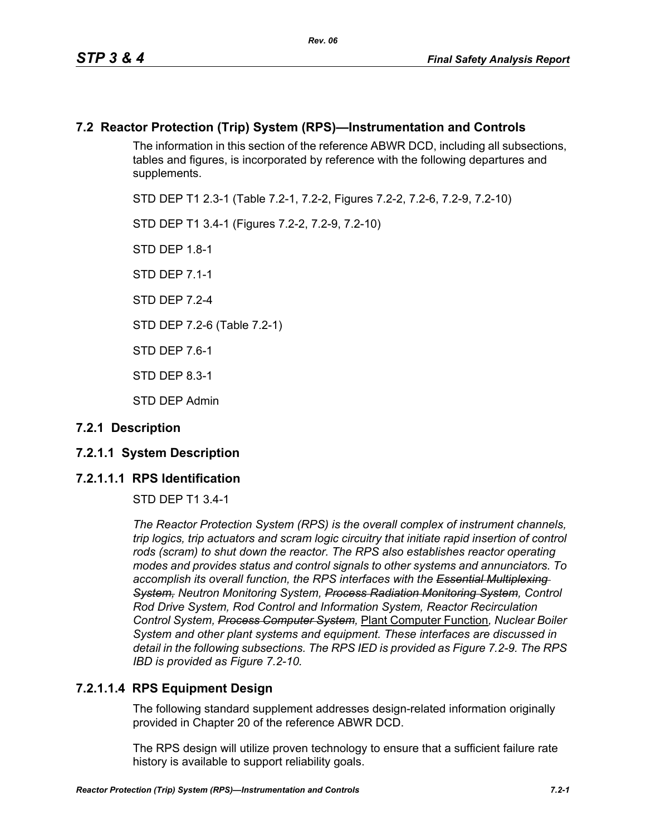## **7.2 Reactor Protection (Trip) System (RPS)—Instrumentation and Controls**

The information in this section of the reference ABWR DCD, including all subsections, tables and figures, is incorporated by reference with the following departures and supplements.

STD DEP T1 2.3-1 (Table 7.2-1, 7.2-2, Figures 7.2-2, 7.2-6, 7.2-9, 7.2-10)

STD DEP T1 3.4-1 (Figures 7.2-2, 7.2-9, 7.2-10)

STD DFP 18-1

STD DEP 7.1-1

STD DFP 7 2-4

STD DEP 7.2-6 (Table 7.2-1)

STD DEP 7.6-1

STD DEP 8.3-1

STD DEP Admin

## **7.2.1 Description**

## **7.2.1.1 System Description**

## **7.2.1.1.1 RPS Identification**

STD DEP T1 3.4-1

*The Reactor Protection System (RPS) is the overall complex of instrument channels, trip logics, trip actuators and scram logic circuitry that initiate rapid insertion of control*  rods (scram) to shut down the reactor. The RPS also establishes reactor operating *modes and provides status and control signals to other systems and annunciators. To accomplish its overall function, the RPS interfaces with the Essential Multiplexing System, Neutron Monitoring System, Process Radiation Monitoring System, Control Rod Drive System, Rod Control and Information System, Reactor Recirculation Control System, Process Computer System,* Plant Computer Function*, Nuclear Boiler System and other plant systems and equipment. These interfaces are discussed in detail in the following subsections. The RPS IED is provided as Figure 7.2-9. The RPS IBD is provided as Figure 7.2-10.*

## **7.2.1.1.4 RPS Equipment Design**

The following standard supplement addresses design-related information originally provided in Chapter 20 of the reference ABWR DCD.

The RPS design will utilize proven technology to ensure that a sufficient failure rate history is available to support reliability goals.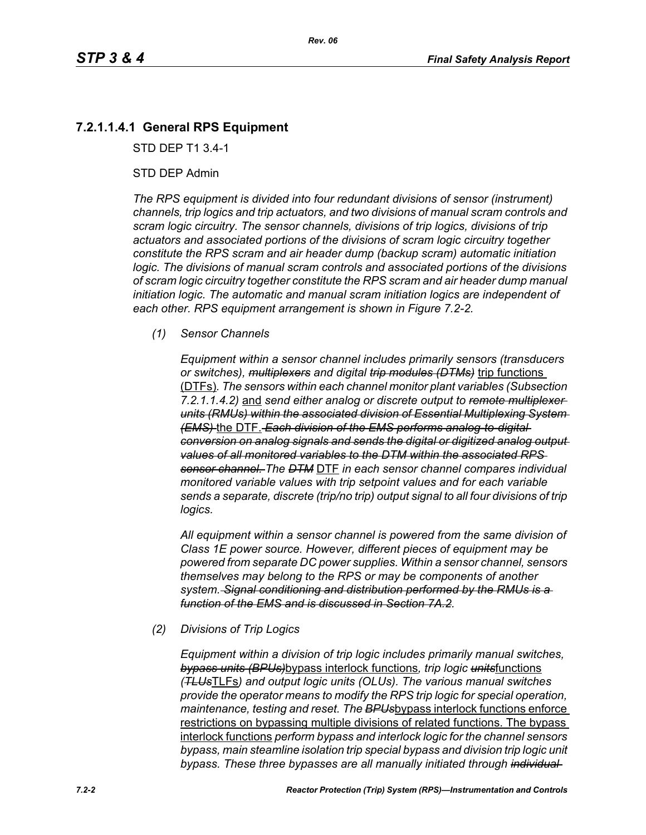## **7.2.1.1.4.1 General RPS Equipment**

STD DEP T1 3.4-1

#### STD DEP Admin

*The RPS equipment is divided into four redundant divisions of sensor (instrument) channels, trip logics and trip actuators, and two divisions of manual scram controls and scram logic circuitry. The sensor channels, divisions of trip logics, divisions of trip actuators and associated portions of the divisions of scram logic circuitry together constitute the RPS scram and air header dump (backup scram) automatic initiation logic. The divisions of manual scram controls and associated portions of the divisions of scram logic circuitry together constitute the RPS scram and air header dump manual initiation logic. The automatic and manual scram initiation logics are independent of each other. RPS equipment arrangement is shown in Figure 7.2-2.*

#### *(1) Sensor Channels*

*Equipment within a sensor channel includes primarily sensors (transducers or switches), multiplexers and digital trip modules (DTMs)* trip functions (DTFs)*. The sensors within each channel monitor plant variables (Subsection 7.2.1.1.4.2)* and *send either analog or discrete output to remote multiplexer units (RMUs) within the associated division of Essential Multiplexing System (EMS)* the DTF. *Each division of the EMS performs analog-to-digital conversion on analog signals and sends the digital or digitized analog output values of all monitored variables to the DTM within the associated RPS sensor channel. The DTM* DTF *in each sensor channel compares individual monitored variable values with trip setpoint values and for each variable sends a separate, discrete (trip/no trip) output signal to all four divisions of trip logics.*

*All equipment within a sensor channel is powered from the same division of Class 1E power source. However, different pieces of equipment may be powered from separate DC power supplies. Within a sensor channel, sensors themselves may belong to the RPS or may be components of another system. Signal conditioning and distribution performed by the RMUs is a function of the EMS and is discussed in Section 7A.2.*

#### *(2) Divisions of Trip Logics*

*Equipment within a division of trip logic includes primarily manual switches, bypass units (BPUs)*bypass interlock functions*, trip logic units*functions *(TLUs*TLFs*) and output logic units (OLUs). The various manual switches provide the operator means to modify the RPS trip logic for special operation, maintenance, testing and reset. The BPUs*bypass interlock functions enforce restrictions on bypassing multiple divisions of related functions. The bypass interlock functions *perform bypass and interlock logic for the channel sensors bypass, main steamline isolation trip special bypass and division trip logic unit bypass. These three bypasses are all manually initiated through individual*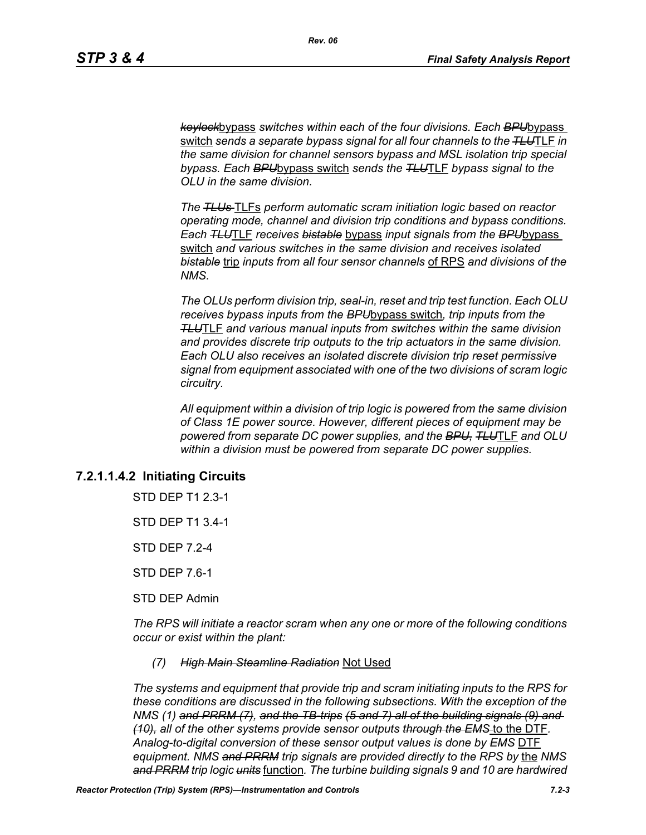*keylock*bypass *switches within each of the four divisions. Each BPU*bypass switch *sends a separate bypass signal for all four channels to the TLU*TLF *in the same division for channel sensors bypass and MSL isolation trip special bypass. Each BPU*bypass switch *sends the TLU*TLF *bypass signal to the OLU in the same division.*

*The TLUs* TLFs *perform automatic scram initiation logic based on reactor operating mode, channel and division trip conditions and bypass conditions. Each TLU*TLF *receives bistable* bypass *input signals from the BPU*bypass switch *and various switches in the same division and receives isolated bistable* trip *inputs from all four sensor channels* of RPS *and divisions of the NMS.*

*The OLUs perform division trip, seal-in, reset and trip test function. Each OLU receives bypass inputs from the BPU*bypass switch*, trip inputs from the TLU*TLF *and various manual inputs from switches within the same division and provides discrete trip outputs to the trip actuators in the same division. Each OLU also receives an isolated discrete division trip reset permissive signal from equipment associated with one of the two divisions of scram logic circuitry.*

*All equipment within a division of trip logic is powered from the same division of Class 1E power source. However, different pieces of equipment may be powered from separate DC power supplies, and the BPU, TLU*TLF *and OLU within a division must be powered from separate DC power supplies.*

## **7.2.1.1.4.2 Initiating Circuits**

STD DEP T1 2.3-1

STD DEP T1 3.4-1

STD DEP 7.2-4

STD DEP 7.6-1

STD DEP Admin

*The RPS will initiate a reactor scram when any one or more of the following conditions occur or exist within the plant:*

#### *(7) High Main Steamline Radiation* Not Used

*The systems and equipment that provide trip and scram initiating inputs to the RPS for these conditions are discussed in the following subsections. With the exception of the NMS (1) and PRRM (7), and the TB-trips (5 and 7) all of the building signals (9) and (10), all of the other systems provide sensor outputs through the EMS* to the DTF*. Analog-to-digital conversion of these sensor output values is done by EMS* DTF *equipment. NMS and PRRM trip signals are provided directly to the RPS by* the *NMS and PRRM trip logic units* function*. The turbine building signals 9 and 10 are hardwired*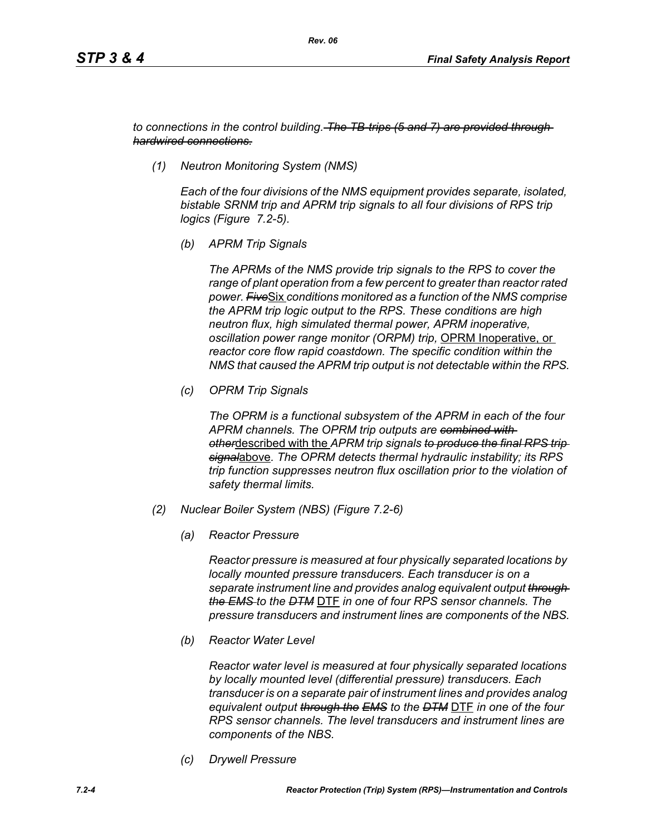*to connections in the control building. The TB-trips (5 and 7) are provided through hardwired connections.*

*(1) Neutron Monitoring System (NMS)*

*Each of the four divisions of the NMS equipment provides separate, isolated, bistable SRNM trip and APRM trip signals to all four divisions of RPS trip logics (Figure 7.2-5).*

*(b) APRM Trip Signals*

*The APRMs of the NMS provide trip signals to the RPS to cover the range of plant operation from a few percent to greater than reactor rated power. Five*Six *conditions monitored as a function of the NMS comprise the APRM trip logic output to the RPS. These conditions are high neutron flux, high simulated thermal power, APRM inoperative, oscillation power range monitor (ORPM) trip,* OPRM Inoperative, or *reactor core flow rapid coastdown. The specific condition within the NMS that caused the APRM trip output is not detectable within the RPS.*

*(c) OPRM Trip Signals*

*The OPRM is a functional subsystem of the APRM in each of the four APRM channels. The OPRM trip outputs are combined with other*described with the *APRM trip signals to produce the final RPS trip signal*above*. The OPRM detects thermal hydraulic instability; its RPS trip function suppresses neutron flux oscillation prior to the violation of safety thermal limits.*

- *(2) Nuclear Boiler System (NBS) (Figure 7.2-6)*
	- *(a) Reactor Pressure*

*Reactor pressure is measured at four physically separated locations by locally mounted pressure transducers. Each transducer is on a separate instrument line and provides analog equivalent output through the EMS to the DTM* DTF *in one of four RPS sensor channels. The pressure transducers and instrument lines are components of the NBS.*

*(b) Reactor Water Level*

*Reactor water level is measured at four physically separated locations by locally mounted level (differential pressure) transducers. Each transducer is on a separate pair of instrument lines and provides analog equivalent output through the EMS to the DTM* DTF *in one of the four RPS sensor channels. The level transducers and instrument lines are components of the NBS.*

*(c) Drywell Pressure*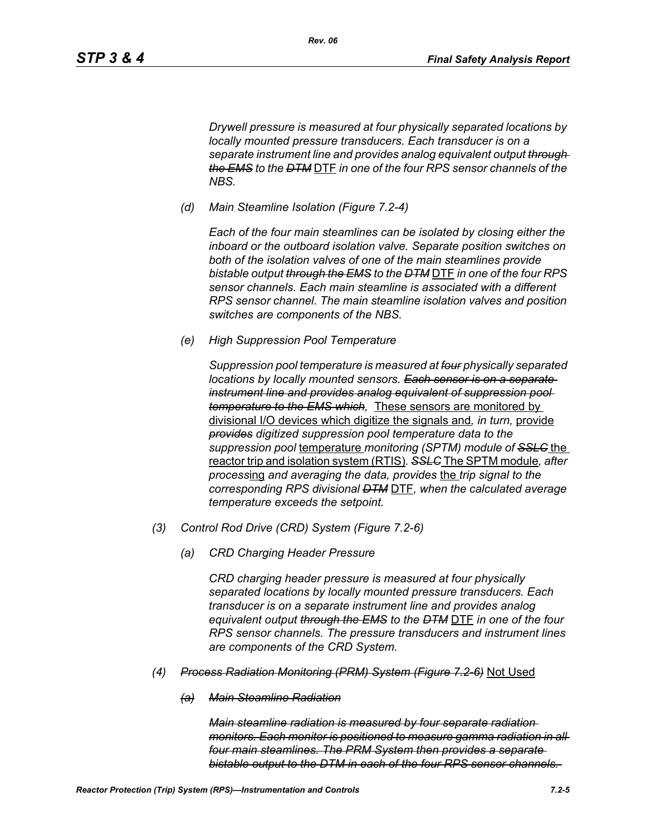*Drywell pressure is measured at four physically separated locations by locally mounted pressure transducers. Each transducer is on a separate instrument line and provides analog equivalent output through the EMS to the DTM* DTF *in one of the four RPS sensor channels of the NBS.*

*(d) Main Steamline Isolation (Figure 7.2-4)*

*Each of the four main steamlines can be isolated by closing either the inboard or the outboard isolation valve. Separate position switches on both of the isolation valves of one of the main steamlines provide bistable output through the EMS to the DTM* DTF *in one of the four RPS sensor channels. Each main steamline is associated with a different RPS sensor channel. The main steamline isolation valves and position switches are components of the NBS.*

*(e) High Suppression Pool Temperature*

*Suppression pool temperature is measured at four physically separated locations by locally mounted sensors. Each sensor is on a separate instrument line and provides analog equivalent of suppression pool temperature to the EMS which,* These sensors are monitored by divisional I/O devices which digitize the signals and*, in turn,* provide *provides digitized suppression pool temperature data to the suppression pool* temperature *monitoring (SPTM) module of SSLC* the reactor trip and isolation system (RTIS)*. SSLC* The SPTM module*, after process*ing *and averaging the data, provides* the *trip signal to the corresponding RPS divisional DTM* DTF*, when the calculated average temperature exceeds the setpoint.*

- *(3) Control Rod Drive (CRD) System (Figure 7.2-6)*
	- *(a) CRD Charging Header Pressure*

*CRD charging header pressure is measured at four physically separated locations by locally mounted pressure transducers. Each transducer is on a separate instrument line and provides analog equivalent output through the EMS to the DTM* DTF *in one of the four RPS sensor channels. The pressure transducers and instrument lines are components of the CRD System.*

- *(4) Process Radiation Monitoring (PRM) System (Figure 7.2-6)* Not Used
	- *(a) Main Steamline Radiation*

*Main steamline radiation is measured by four separate radiation monitors. Each monitor is positioned to measure gamma radiation in all four main steamlines. The PRM System then provides a separate bistable output to the DTM in each of the four RPS sensor channels.*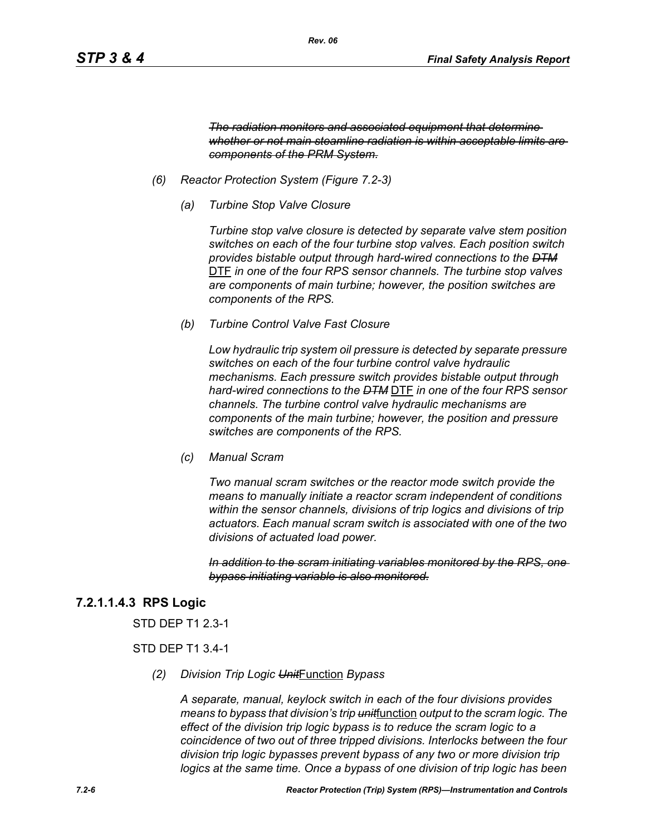*The radiation monitors and associated equipment that determine whether or not main steamline radiation is within acceptable limits are components of the PRM System.*

- *(6) Reactor Protection System (Figure 7.2-3)*
	- *(a) Turbine Stop Valve Closure*

*Turbine stop valve closure is detected by separate valve stem position switches on each of the four turbine stop valves. Each position switch provides bistable output through hard-wired connections to the DTM* DTF *in one of the four RPS sensor channels. The turbine stop valves are components of main turbine; however, the position switches are components of the RPS.*

*(b) Turbine Control Valve Fast Closure*

*Low hydraulic trip system oil pressure is detected by separate pressure switches on each of the four turbine control valve hydraulic mechanisms. Each pressure switch provides bistable output through hard-wired connections to the DTM* DTF *in one of the four RPS sensor channels. The turbine control valve hydraulic mechanisms are components of the main turbine; however, the position and pressure switches are components of the RPS.*

*(c) Manual Scram*

*Two manual scram switches or the reactor mode switch provide the means to manually initiate a reactor scram independent of conditions within the sensor channels, divisions of trip logics and divisions of trip actuators. Each manual scram switch is associated with one of the two divisions of actuated load power.* 

*In addition to the scram initiating variables monitored by the RPS, one bypass initiating variable is also monitored.*

## **7.2.1.1.4.3 RPS Logic**

STD DEP T1 2.3-1

#### STD DEP T1 3.4-1

*(2) Division Trip Logic Unit*Function *Bypass*

*A separate, manual, keylock switch in each of the four divisions provides means to bypass that division's trip unit*function *output to the scram logic. The effect of the division trip logic bypass is to reduce the scram logic to a coincidence of two out of three tripped divisions. Interlocks between the four division trip logic bypasses prevent bypass of any two or more division trip logics at the same time. Once a bypass of one division of trip logic has been*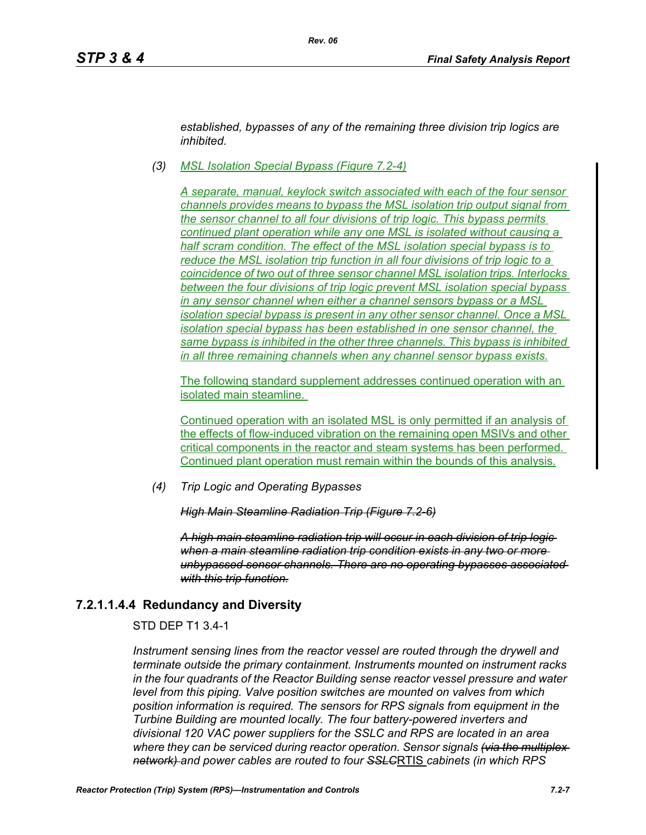*established, bypasses of any of the remaining three division trip logics are inhibited.*

*(3) MSL Isolation Special Bypass (Figure 7.2-4)*

*Rev. 06*

*A separate, manual, keylock switch associated with each of the four sensor channels provides means to bypass the MSL isolation trip output signal from the sensor channel to all four divisions of trip logic. This bypass permits continued plant operation while any one MSL is isolated without causing a half scram condition. The effect of the MSL isolation special bypass is to reduce the MSL isolation trip function in all four divisions of trip logic to a coincidence of two out of three sensor channel MSL isolation trips. Interlocks between the four divisions of trip logic prevent MSL isolation special bypass in any sensor channel when either a channel sensors bypass or a MSL isolation special bypass is present in any other sensor channel. Once a MSL isolation special bypass has been established in one sensor channel, the same bypass is inhibited in the other three channels. This bypass is inhibited in all three remaining channels when any channel sensor bypass exists.*

The following standard supplement addresses continued operation with an isolated main steamline.

Continued operation with an isolated MSL is only permitted if an analysis of the effects of flow-induced vibration on the remaining open MSIVs and other critical components in the reactor and steam systems has been performed. Continued plant operation must remain within the bounds of this analysis.

*(4) Trip Logic and Operating Bypasses*

*High Main Steamline Radiation Trip (Figure 7.2-6)*

*A high main steamline radiation trip will occur in each division of trip logic when a main steamline radiation trip condition exists in any two or more unbypassed sensor channels. There are no operating bypasses associated with this trip function.*

## **7.2.1.1.4.4 Redundancy and Diversity**

STD DEP T1 3.4-1

*Instrument sensing lines from the reactor vessel are routed through the drywell and terminate outside the primary containment. Instruments mounted on instrument racks in the four quadrants of the Reactor Building sense reactor vessel pressure and water level from this piping. Valve position switches are mounted on valves from which position information is required. The sensors for RPS signals from equipment in the Turbine Building are mounted locally. The four battery-powered inverters and divisional 120 VAC power suppliers for the SSLC and RPS are located in an area where they can be serviced during reactor operation. Sensor signals (via the multiplex network) and power cables are routed to four SSLC*RTIS *cabinets (in which RPS*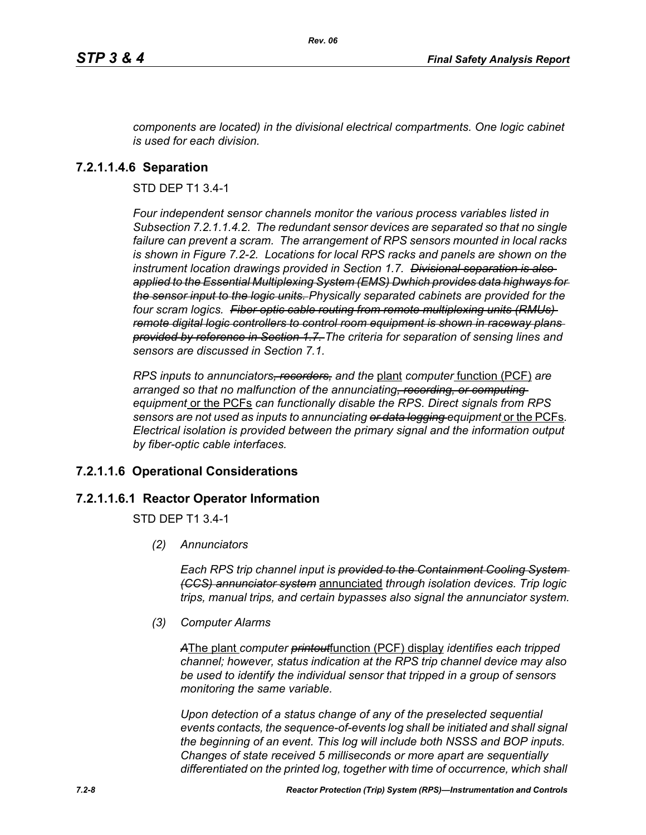*components are located) in the divisional electrical compartments. One logic cabinet is used for each division.*

*Rev. 06*

## **7.2.1.1.4.6 Separation**

STD DEP T1 3.4-1

*Four independent sensor channels monitor the various process variables listed in Subsection 7.2.1.1.4.2. The redundant sensor devices are separated so that no single failure can prevent a scram. The arrangement of RPS sensors mounted in local racks is shown in Figure 7.2-2. Locations for local RPS racks and panels are shown on the instrument location drawings provided in Section 1.7. Divisional separation is also applied to the Essential Multiplexing System (EMS) Dwhich provides data highways for the sensor input to the logic units. Physically separated cabinets are provided for the four scram logics. Fiber optic cable routing from remote multiplexing units (RMUs) remote digital logic controllers to control room equipment is shown in raceway plans provided by reference in Section 1.7. The criteria for separation of sensing lines and sensors are discussed in Section 7.1.*

*RPS inputs to annunciators, recorders, and the* plant *computer* function (PCF) *are arranged so that no malfunction of the annunciating, recording, or computing equipment* or the PCFs *can functionally disable the RPS. Direct signals from RPS sensors are not used as inputs to annunciating or data logging equipment* or the PCFs*. Electrical isolation is provided between the primary signal and the information output by fiber-optic cable interfaces.*

## **7.2.1.1.6 Operational Considerations**

#### **7.2.1.1.6.1 Reactor Operator Information**

STD DEP T1 3.4-1

*(2) Annunciators*

*Each RPS trip channel input is provided to the Containment Cooling System (CCS) annunciator system* annunciated *through isolation devices. Trip logic trips, manual trips, and certain bypasses also signal the annunciator system.*

*(3) Computer Alarms*

*A*The plant *computer printout*function (PCF) display *identifies each tripped channel; however, status indication at the RPS trip channel device may also be used to identify the individual sensor that tripped in a group of sensors monitoring the same variable.* 

*Upon detection of a status change of any of the preselected sequential events contacts, the sequence-of-events log shall be initiated and shall signal the beginning of an event. This log will include both NSSS and BOP inputs. Changes of state received 5 milliseconds or more apart are sequentially differentiated on the printed log, together with time of occurrence, which shall*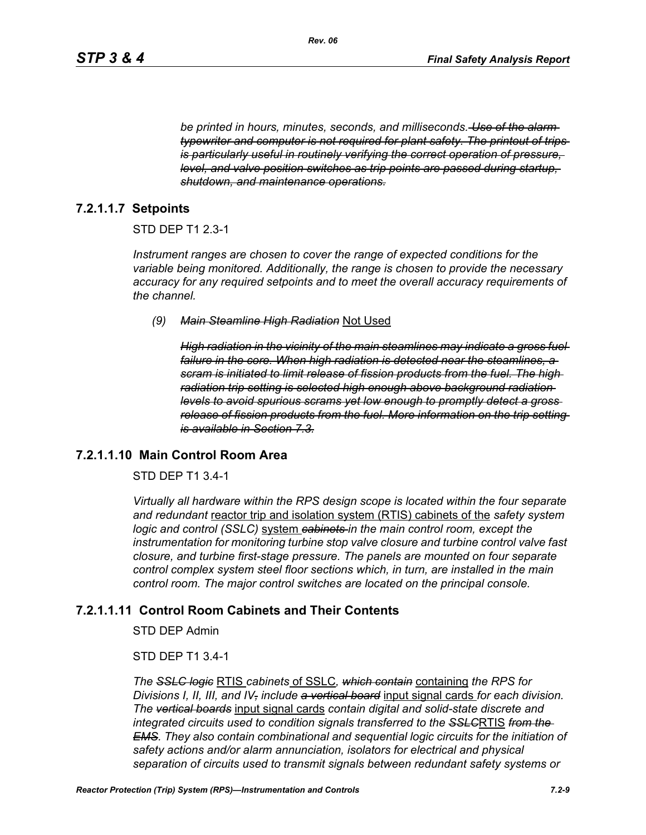*be printed in hours, minutes, seconds, and milliseconds. Use of the alarm typewriter and computer is not required for plant safety. The printout of trips is particularly useful in routinely verifying the correct operation of pressure, level, and valve position switches as trip points are passed during startup, shutdown, and maintenance operations.*

## **7.2.1.1.7 Setpoints**

#### STD DEP T1 2.3-1

*Instrument ranges are chosen to cover the range of expected conditions for the variable being monitored. Additionally, the range is chosen to provide the necessary accuracy for any required setpoints and to meet the overall accuracy requirements of the channel.*

#### *(9) Main Steamline High Radiation* Not Used

*High radiation in the vicinity of the main steamlines may indicate a gross fuel failure in the core. When high radiation is detected near the steamlines, a scram is initiated to limit release of fission products from the fuel. The high radiation trip setting is selected high enough above background radiation levels to avoid spurious scrams yet low enough to promptly detect a gross release of fission products from the fuel. More information on the trip setting is available in Section 7.3.*

#### **7.2.1.1.10 Main Control Room Area**

#### STD DEP T1 3.4-1

*Virtually all hardware within the RPS design scope is located within the four separate and redundant* reactor trip and isolation system (RTIS) cabinets of the *safety system logic and control (SSLC)* system *cabinets in the main control room, except the instrumentation for monitoring turbine stop valve closure and turbine control valve fast closure, and turbine first-stage pressure. The panels are mounted on four separate control complex system steel floor sections which, in turn, are installed in the main control room. The major control switches are located on the principal console.*

#### **7.2.1.1.11 Control Room Cabinets and Their Contents**

STD DEP Admin

#### STD DEP T1 3.4-1

*The SSLC logic* RTIS *cabinets* of SSLC*, which contain* containing *the RPS for Divisions I, II, III, and IV, include a vertical board* input signal cards *for each division. The vertical boards* input signal cards *contain digital and solid-state discrete and integrated circuits used to condition signals transferred to the SSLC*RTIS *from the EMS. They also contain combinational and sequential logic circuits for the initiation of safety actions and/or alarm annunciation, isolators for electrical and physical separation of circuits used to transmit signals between redundant safety systems or*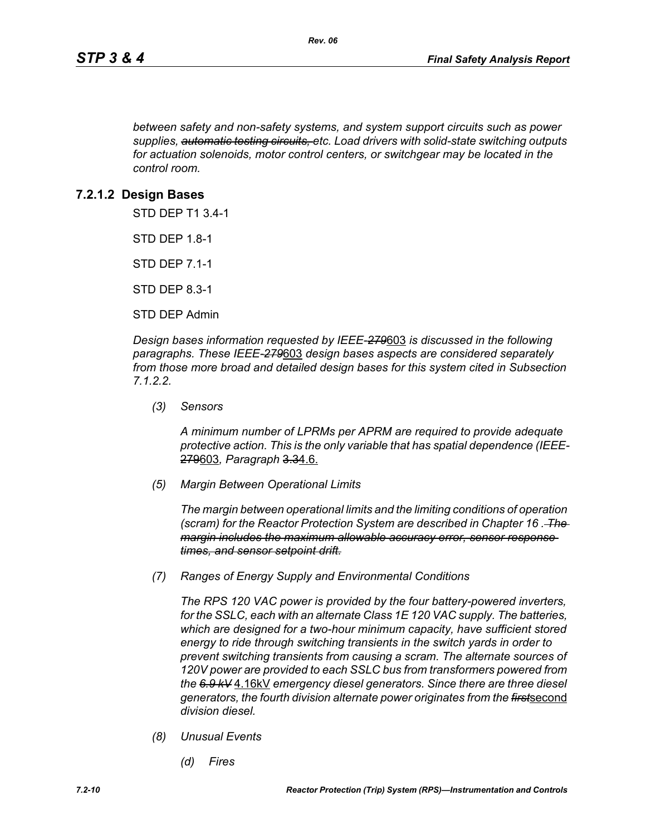*between safety and non-safety systems, and system support circuits such as power supplies, automatic testing circuits, etc. Load drivers with solid-state switching outputs for actuation solenoids, motor control centers, or switchgear may be located in the control room.*

## **7.2.1.2 Design Bases**

STD DEP T1 3.4-1

STD DEP 1.8-1

STD DEP 7.1-1

STD DEP 8.3-1

STD DEP Admin

*Design bases information requested by IEEE-279*603 *is discussed in the following paragraphs. These IEEE-279*603 *design bases aspects are considered separately from those more broad and detailed design bases for this system cited in Subsection 7.1.2.2.*

*(3) Sensors*

*A minimum number of LPRMs per APRM are required to provide adequate protective action. This is the only variable that has spatial dependence (IEEE-*279603*, Paragraph* 3.34.6.

*(5) Margin Between Operational Limits*

*The margin between operational limits and the limiting conditions of operation (scram) for the Reactor Protection System are described in Chapter 16 . The margin includes the maximum allowable accuracy error, sensor response times, and sensor setpoint drift.*

*(7) Ranges of Energy Supply and Environmental Conditions*

*The RPS 120 VAC power is provided by the four battery-powered inverters, for the SSLC, each with an alternate Class 1E 120 VAC supply. The batteries, which are designed for a two-hour minimum capacity, have sufficient stored energy to ride through switching transients in the switch yards in order to prevent switching transients from causing a scram. The alternate sources of 120V power are provided to each SSLC bus from transformers powered from the 6.9 kV* 4.16kV *emergency diesel generators. Since there are three diesel generators, the fourth division alternate power originates from the first*second *division diesel.*

- *(8) Unusual Events*
	- *(d) Fires*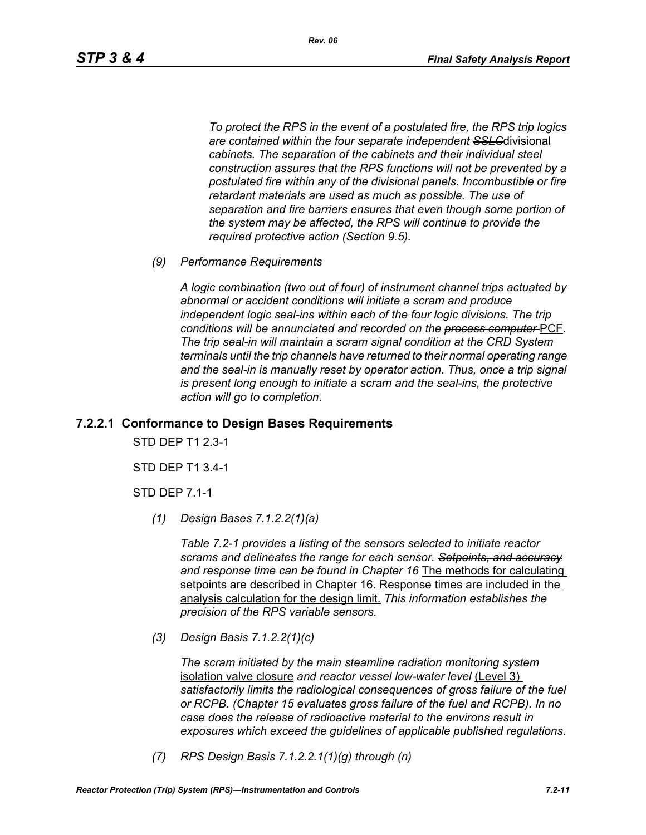*To protect the RPS in the event of a postulated fire, the RPS trip logics are contained within the four separate independent SSLC*divisional *cabinets. The separation of the cabinets and their individual steel construction assures that the RPS functions will not be prevented by a postulated fire within any of the divisional panels. Incombustible or fire retardant materials are used as much as possible. The use of separation and fire barriers ensures that even though some portion of the system may be affected, the RPS will continue to provide the required protective action (Section 9.5).*

*(9) Performance Requirements*

*A logic combination (two out of four) of instrument channel trips actuated by abnormal or accident conditions will initiate a scram and produce independent logic seal-ins within each of the four logic divisions. The trip conditions will be annunciated and recorded on the process computer* PCF*. The trip seal-in will maintain a scram signal condition at the CRD System terminals until the trip channels have returned to their normal operating range*  and the seal-in is manually reset by operator action. Thus, once a trip signal *is present long enough to initiate a scram and the seal-ins, the protective action will go to completion.*

#### **7.2.2.1 Conformance to Design Bases Requirements**

STD DEP T1 2.3-1

STD DEP T1 3.4-1

STD DEP 7.1-1

*(1) Design Bases 7.1.2.2(1)(a)*

*Table 7.2-1 provides a listing of the sensors selected to initiate reactor scrams and delineates the range for each sensor. Setpoints, and accuracy and response time can be found in Chapter 16* The methods for calculating setpoints are described in Chapter 16. Response times are included in the analysis calculation for the design limit. *This information establishes the precision of the RPS variable sensors.*

*(3) Design Basis 7.1.2.2(1)(c)*

*The scram initiated by the main steamline radiation monitoring system* isolation valve closure *and reactor vessel low-water level* (Level 3) *satisfactorily limits the radiological consequences of gross failure of the fuel or RCPB. (Chapter 15 evaluates gross failure of the fuel and RCPB). In no case does the release of radioactive material to the environs result in exposures which exceed the guidelines of applicable published regulations.*

*(7) RPS Design Basis 7.1.2.2.1(1)(g) through (n)*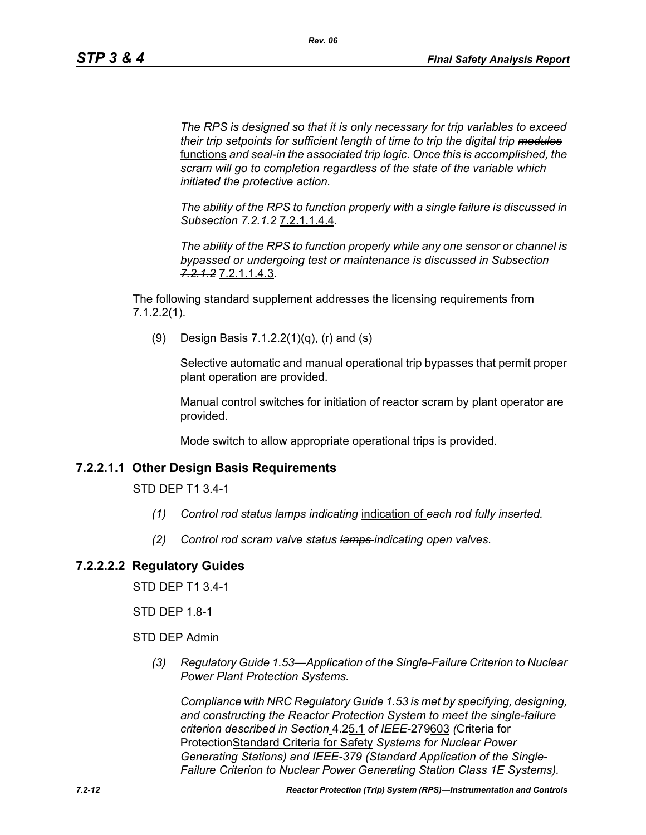*The RPS is designed so that it is only necessary for trip variables to exceed their trip setpoints for sufficient length of time to trip the digital trip modules* functions *and seal-in the associated trip logic. Once this is accomplished, the scram will go to completion regardless of the state of the variable which initiated the protective action.*

*The ability of the RPS to function properly with a single failure is discussed in Subsection 7.2.1.2* 7.2.1.1.4.4*.*

*The ability of the RPS to function properly while any one sensor or channel is bypassed or undergoing test or maintenance is discussed in Subsection 7.2.1.2* 7.2.1.1.4.3*.*

The following standard supplement addresses the licensing requirements from 7.1.2.2(1).

(9) Design Basis 7.1.2.2(1)(q), (r) and (s)

Selective automatic and manual operational trip bypasses that permit proper plant operation are provided.

Manual control switches for initiation of reactor scram by plant operator are provided.

Mode switch to allow appropriate operational trips is provided.

## **7.2.2.1.1 Other Design Basis Requirements**

STD DEP T1 3.4-1

- *(1) Control rod status lamps indicating* indication of *each rod fully inserted.*
- *(2) Control rod scram valve status lamps indicating open valves.*

## **7.2.2.2.2 Regulatory Guides**

STD DEP T1 3.4-1

STD DEP 1.8-1

STD DEP Admin

*(3) Regulatory Guide 1.53—Application of the Single-Failure Criterion to Nuclear Power Plant Protection Systems.*

*Compliance with NRC Regulatory Guide 1.53 is met by specifying, designing, and constructing the Reactor Protection System to meet the single-failure criterion described in Section* 4.25.1 *of IEEE-*279603 *(*Criteria for ProtectionStandard Criteria for Safety *Systems for Nuclear Power Generating Stations) and IEEE-379 (Standard Application of the Single-Failure Criterion to Nuclear Power Generating Station Class 1E Systems).*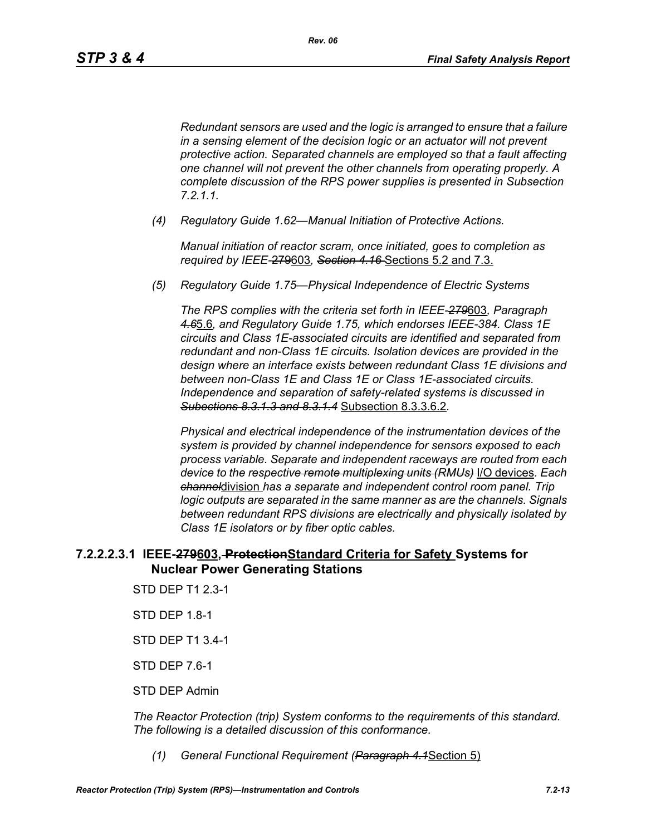*Redundant sensors are used and the logic is arranged to ensure that a failure in a sensing element of the decision logic or an actuator will not prevent protective action. Separated channels are employed so that a fault affecting one channel will not prevent the other channels from operating properly. A complete discussion of the RPS power supplies is presented in Subsection 7.2.1.1.*

*(4) Regulatory Guide 1.62—Manual Initiation of Protective Actions.*

*Manual initiation of reactor scram, once initiated, goes to completion as required by IEEE-*279603*, Section 4.16* Sections 5.2 and 7.3.

*(5) Regulatory Guide 1.75—Physical Independence of Electric Systems*

*The RPS complies with the criteria set forth in IEEE-279*603*, Paragraph 4.6*5.6*, and Regulatory Guide 1.75, which endorses IEEE-384. Class 1E circuits and Class 1E-associated circuits are identified and separated from redundant and non-Class 1E circuits. Isolation devices are provided in the design where an interface exists between redundant Class 1E divisions and between non-Class 1E and Class 1E or Class 1E-associated circuits. Independence and separation of safety-related systems is discussed in Subections 8.3.1.3 and 8.3.1.4* Subsection 8.3.3.6.2*.*

*Physical and electrical independence of the instrumentation devices of the system is provided by channel independence for sensors exposed to each process variable. Separate and independent raceways are routed from each device to the respective remote multiplexing units (RMUs)* I/O devices*. Each channel*division *has a separate and independent control room panel. Trip logic outputs are separated in the same manner as are the channels. Signals between redundant RPS divisions are electrically and physically isolated by Class 1E isolators or by fiber optic cables.*

## **7.2.2.2.3.1 IEEE-279603, ProtectionStandard Criteria for Safety Systems for Nuclear Power Generating Stations**

- STD DEP T1 2.3-1
- STD DEP 1.8-1
- STD DEP T1 3.4-1
- STD DEP 7.6-1
- STD DEP Admin

*The Reactor Protection (trip) System conforms to the requirements of this standard. The following is a detailed discussion of this conformance.*

*(1) General Functional Requirement (Paragraph 4.1*Section 5)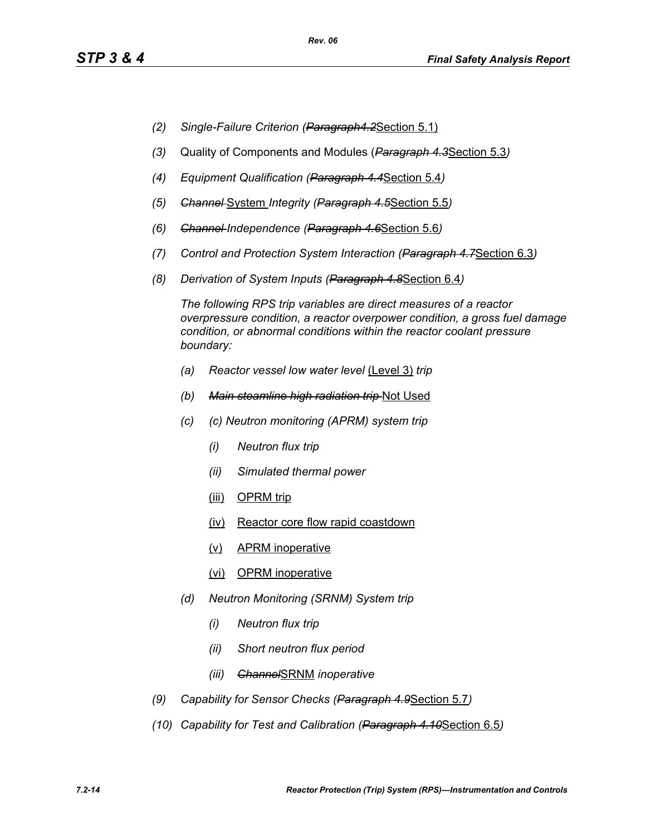- *(2) Single-Failure Criterion (Paragraph4.2*Section 5.1)
- *(3)* Quality of Components and Modules (*Paragraph 4.3*Section 5.3*)*
- *(4) Equipment Qualification (Paragraph 4.4*Section 5.4*)*
- *(5) Channel* System *Integrity (Paragraph 4.5*Section 5.5*)*
- *(6) Channel Independence (Paragraph 4.6*Section 5.6*)*
- *(7) Control and Protection System Interaction (Paragraph 4.7*Section 6.3*)*
- *(8) Derivation of System Inputs (Paragraph 4.8*Section 6.4*)*

*The following RPS trip variables are direct measures of a reactor overpressure condition, a reactor overpower condition, a gross fuel damage condition, or abnormal conditions within the reactor coolant pressure boundary:*

- *(a) Reactor vessel low water level* (Level 3) *trip*
- *(b) Main steamline high radiation trip* Not Used
- *(c) (c) Neutron monitoring (APRM) system trip*
	- *(i) Neutron flux trip*
	- *(ii) Simulated thermal power*
	- (iii) OPRM trip
	- (iv) Reactor core flow rapid coastdown
	- (v) APRM inoperative
	- (vi) OPRM inoperative
- *(d) Neutron Monitoring (SRNM) System trip*
	- *(i) Neutron flux trip*
	- *(ii) Short neutron flux period*
	- *(iii) Channel*SRNM *inoperative*
- *(9) Capability for Sensor Checks (Paragraph 4.9*Section 5.7*)*
- *(10) Capability for Test and Calibration (Paragraph 4.10*Section 6.5*)*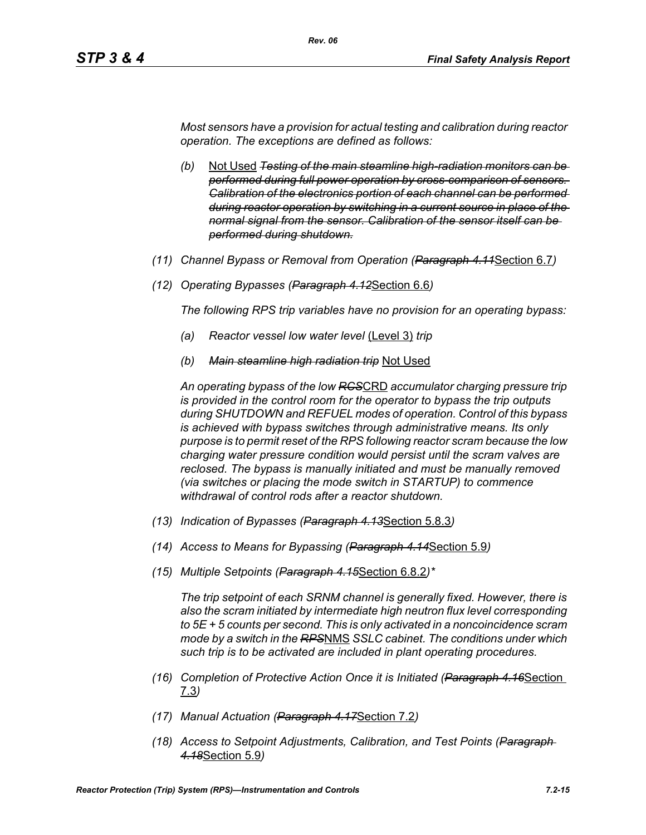*Most sensors have a provision for actual testing and calibration during reactor operation. The exceptions are defined as follows:*

*Rev. 06*

- *(b)* Not Used *Testing of the main steamline high-radiation monitors can be performed during full power operation by cross-comparison of sensors. Calibration of the electronics portion of each channel can be performed during reactor operation by switching in a current source in place of the normal signal from the sensor. Calibration of the sensor itself can be performed during shutdown.*
- *(11) Channel Bypass or Removal from Operation (Paragraph 4.11*Section 6.7*)*
- *(12) Operating Bypasses (Paragraph 4.12*Section 6.6*)*

*The following RPS trip variables have no provision for an operating bypass:*

- *(a) Reactor vessel low water level* (Level 3) *trip*
- *(b) Main steamline high radiation trip* Not Used

*An operating bypass of the low RCS*CRD *accumulator charging pressure trip is provided in the control room for the operator to bypass the trip outputs during SHUTDOWN and REFUEL modes of operation. Control of this bypass is achieved with bypass switches through administrative means. Its only purpose is to permit reset of the RPS following reactor scram because the low charging water pressure condition would persist until the scram valves are reclosed. The bypass is manually initiated and must be manually removed (via switches or placing the mode switch in STARTUP) to commence withdrawal of control rods after a reactor shutdown.*

- *(13) Indication of Bypasses (Paragraph 4.13*Section 5.8.3*)*
- *(14) Access to Means for Bypassing (Paragraph 4.14*Section 5.9*)*
- *(15) Multiple Setpoints (Paragraph 4.15*Section 6.8.2*)\**

*The trip setpoint of each SRNM channel is generally fixed. However, there is also the scram initiated by intermediate high neutron flux level corresponding to 5E + 5 counts per second. This is only activated in a noncoincidence scram mode by a switch in the RPS*NMS *SSLC cabinet. The conditions under which such trip is to be activated are included in plant operating procedures.*

- *(16) Completion of Protective Action Once it is Initiated (Paragraph 4.16*Section 7.3*)*
- *(17) Manual Actuation (Paragraph 4.17*Section 7.2*)*
- *(18) Access to Setpoint Adjustments, Calibration, and Test Points (Paragraph 4.18*Section 5.9*)*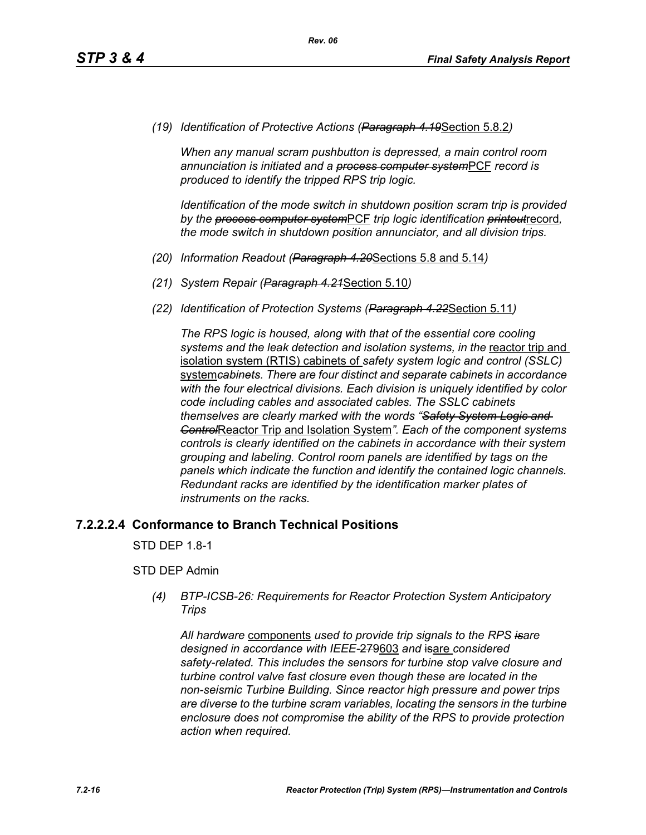*(19) Identification of Protective Actions (Paragraph 4.19*Section 5.8.2*)*

*When any manual scram pushbutton is depressed, a main control room annunciation is initiated and a process computer system*PCF *record is produced to identify the tripped RPS trip logic.*

*Identification of the mode switch in shutdown position scram trip is provided by the process computer system*PCF *trip logic identification printout*record*, the mode switch in shutdown position annunciator, and all division trips.*

- *(20) Information Readout (Paragraph 4.20*Sections 5.8 and 5.14*)*
- *(21) System Repair (Paragraph 4.21*Section 5.10*)*
- *(22) Identification of Protection Systems (Paragraph 4.22*Section 5.11*)*

*The RPS logic is housed, along with that of the essential core cooling*  systems and the leak detection and *isolation systems, in the reactor trip* and isolation system (RTIS) cabinets of *safety system logic and control (SSLC)*  system*cabinets. There are four distinct and separate cabinets in accordance with the four electrical divisions. Each division is uniquely identified by color code including cables and associated cables. The SSLC cabinets themselves are clearly marked with the words "Safety System Logic and Control*Reactor Trip and Isolation System*". Each of the component systems controls is clearly identified on the cabinets in accordance with their system grouping and labeling. Control room panels are identified by tags on the panels which indicate the function and identify the contained logic channels. Redundant racks are identified by the identification marker plates of instruments on the racks.*

#### **7.2.2.2.4 Conformance to Branch Technical Positions**

STD DEP 1.8-1

#### STD DEP Admin

*(4) BTP-ICSB-26: Requirements for Reactor Protection System Anticipatory Trips*

*All hardware* components *used to provide trip signals to the RPS isare designed in accordance with IEEE-*279603 *and* isare *considered safety-related. This includes the sensors for turbine stop valve closure and turbine control valve fast closure even though these are located in the non-seismic Turbine Building. Since reactor high pressure and power trips are diverse to the turbine scram variables, locating the sensors in the turbine enclosure does not compromise the ability of the RPS to provide protection action when required.*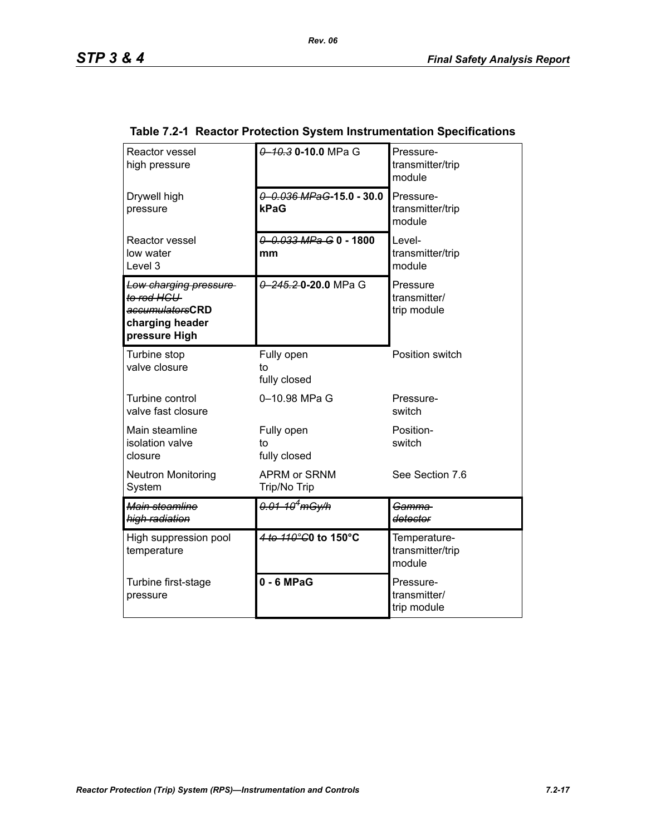| Reactor vessel<br>high pressure                                                            | 0 10.3 0-10.0 MPa G                 | Pressure-<br>transmitter/trip<br>module    |
|--------------------------------------------------------------------------------------------|-------------------------------------|--------------------------------------------|
| Drywell high<br>pressure                                                                   | 0 0.036 MPaG-15.0 - 30.0<br>kPaG    | Pressure-<br>transmitter/trip<br>module    |
| Reactor vessel<br>low water<br>Level 3                                                     | 0 0.033 MPa G 0 - 1800<br>mm        | Level-<br>transmitter/trip<br>module       |
| Low charging pressure<br>to rod HCU<br>accumulatorsCRD<br>charging header<br>pressure High | 0 245.20-20.0 MPa G                 | Pressure<br>transmitter/<br>trip module    |
| Turbine stop<br>valve closure                                                              | Fully open<br>to<br>fully closed    | Position switch                            |
| Turbine control<br>valve fast closure                                                      | 0-10.98 MPa G                       | Pressure-<br>switch                        |
| Main steamline<br>isolation valve<br>closure                                               | Fully open<br>to<br>fully closed    | Position-<br>switch                        |
| <b>Neutron Monitoring</b><br>System                                                        | <b>APRM or SRNM</b><br>Trip/No Trip | See Section 7.6                            |
| Main steamline<br>high radiation                                                           | 0.01-10 <sup>4</sup> mGy/h          | Gamma-<br>detector                         |
| High suppression pool<br>temperature                                                       | 4 to 110°C0 to 150°C                | Temperature-<br>transmitter/trip<br>module |
| Turbine first-stage<br>pressure                                                            | $0 - 6$ MPaG                        | Pressure-<br>transmitter/<br>trip module   |

## **Table 7.2-1 Reactor Protection System Instrumentation Specifications**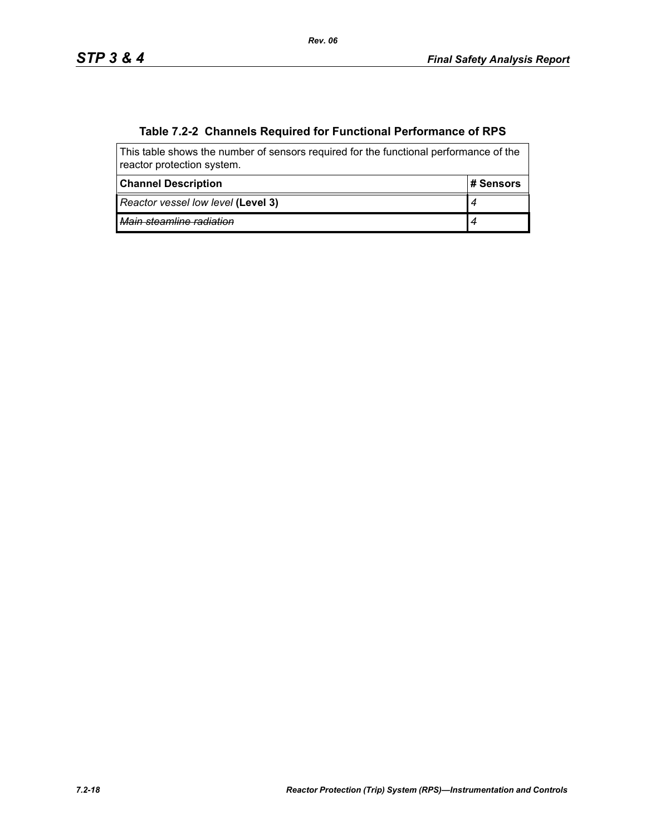# **Table 7.2-2 Channels Required for Functional Performance of RPS**

| This table shows the number of sensors required for the functional performance of the<br>reactor protection system. |            |  |  |
|---------------------------------------------------------------------------------------------------------------------|------------|--|--|
| <b>Channel Description</b>                                                                                          | ⊦# Sensors |  |  |
| Reactor vessel low level (Level 3)                                                                                  |            |  |  |
| Main steamline radiation                                                                                            |            |  |  |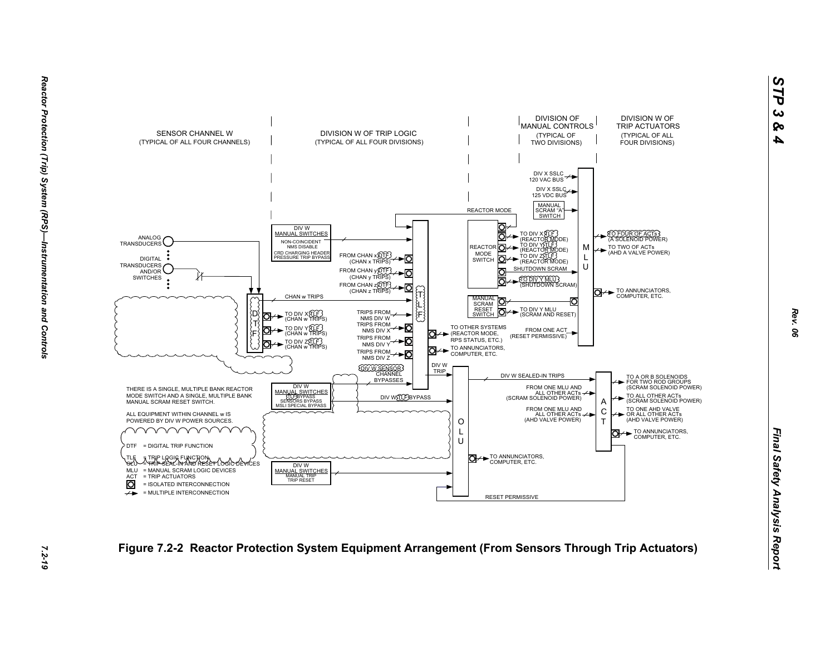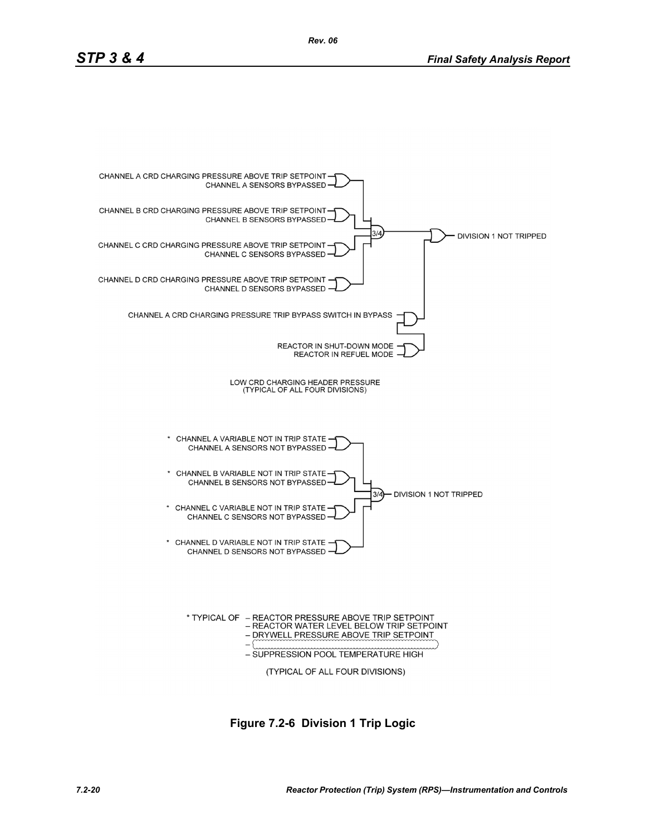

**Figure 7.2-6 Division 1 Trip Logic**